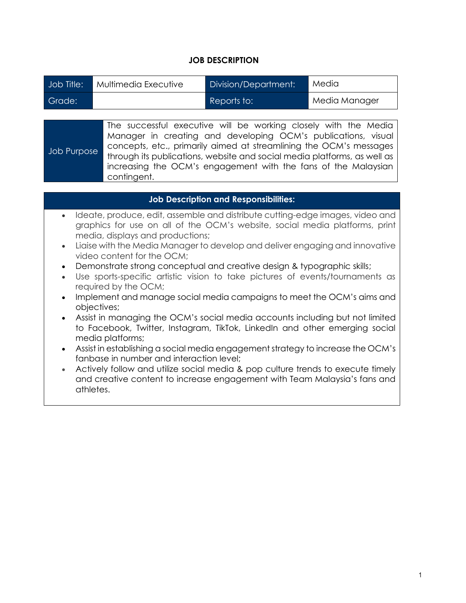## **JOB DESCRIPTION**

| Job Title: | Multimedia Executive | Division/Department: | Media         |
|------------|----------------------|----------------------|---------------|
| Grade:     |                      | Reports to:          | Media Manager |

Job Purpose The successful executive will be working closely with the Media Manager in creating and developing OCM's publications, visual concepts, etc., primarily aimed at streamlining the OCM's messages through its publications, website and social media platforms, as well as increasing the OCM's engagement with the fans of the Malaysian contingent.

## **Job Description and Responsibilities:**

- Ideate, produce, edit, assemble and distribute cutting-edge images, video and graphics for use on all of the OCM's website, social media platforms, print media, displays and productions;
- Liaise with the Media Manager to develop and deliver engaging and innovative video content for the OCM;
- Demonstrate strong conceptual and creative design & typographic skills;
- Use sports-specific artistic vision to take pictures of events/tournaments as required by the OCM;
- Implement and manage social media campaigns to meet the OCM's aims and objectives;
- Assist in managing the OCM's social media accounts including but not limited to Facebook, Twitter, Instagram, TikTok, LinkedIn and other emerging social media platforms;
- Assist in establishing a social media engagement strategy to increase the OCM's fanbase in number and interaction level;
- Actively follow and utilize social media & pop culture trends to execute timely and creative content to increase engagement with Team Malaysia's fans and athletes.